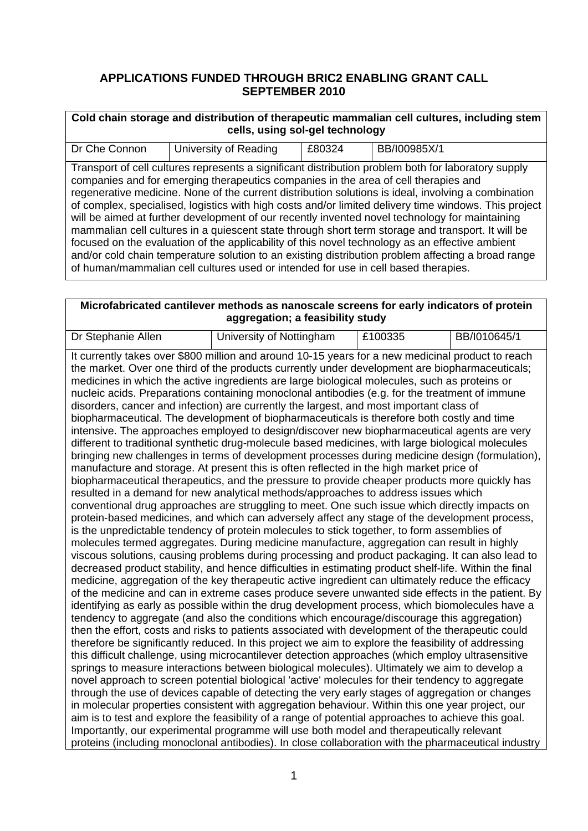## **APPLICATIONS FUNDED THROUGH BRIC2 ENABLING GRANT CALL SEPTEMBER 2010**

| Cold chain storage and distribution of therapeutic mammalian cell cultures, including stem<br>cells, using sol-gel technology |                                                                                                                                                                           |        |                                                                                                                                                                                                                                                                                                                                                                                                                                                                                                                                                                                                                                                                                                                                     |  |
|-------------------------------------------------------------------------------------------------------------------------------|---------------------------------------------------------------------------------------------------------------------------------------------------------------------------|--------|-------------------------------------------------------------------------------------------------------------------------------------------------------------------------------------------------------------------------------------------------------------------------------------------------------------------------------------------------------------------------------------------------------------------------------------------------------------------------------------------------------------------------------------------------------------------------------------------------------------------------------------------------------------------------------------------------------------------------------------|--|
| Dr Che Connon                                                                                                                 | University of Reading                                                                                                                                                     | £80324 | BB/I00985X/1                                                                                                                                                                                                                                                                                                                                                                                                                                                                                                                                                                                                                                                                                                                        |  |
|                                                                                                                               | companies and for emerging therapeutics companies in the area of cell therapies and<br>of human/mammalian cell cultures used or intended for use in cell based therapies. |        | Transport of cell cultures represents a significant distribution problem both for laboratory supply<br>regenerative medicine. None of the current distribution solutions is ideal, involving a combination<br>of complex, specialised, logistics with high costs and/or limited delivery time windows. This project<br>will be aimed at further development of our recently invented novel technology for maintaining<br>mammalian cell cultures in a quiescent state through short term storage and transport. It will be<br>focused on the evaluation of the applicability of this novel technology as an effective ambient<br>and/or cold chain temperature solution to an existing distribution problem affecting a broad range |  |

### **Microfabricated cantilever methods as nanoscale screens for early indicators of protein aggregation; a feasibility study**

| Dr Stephanie Allen                                                                                                                                                                                      | University of Nottingham                                                                               | £100335 | BB/I010645/1 |  |
|---------------------------------------------------------------------------------------------------------------------------------------------------------------------------------------------------------|--------------------------------------------------------------------------------------------------------|---------|--------------|--|
|                                                                                                                                                                                                         | It currently takes over \$800 million and around 10-15 years for a new medicinal product to reach      |         |              |  |
|                                                                                                                                                                                                         | the market. Over one third of the products currently under development are biopharmaceuticals;         |         |              |  |
|                                                                                                                                                                                                         | medicines in which the active ingredients are large biological molecules, such as proteins or          |         |              |  |
|                                                                                                                                                                                                         | nucleic acids. Preparations containing monoclonal antibodies (e.g. for the treatment of immune         |         |              |  |
|                                                                                                                                                                                                         | disorders, cancer and infection) are currently the largest, and most important class of                |         |              |  |
|                                                                                                                                                                                                         | biopharmaceutical. The development of biopharmaceuticals is therefore both costly and time             |         |              |  |
|                                                                                                                                                                                                         | intensive. The approaches employed to design/discover new biopharmaceutical agents are very            |         |              |  |
|                                                                                                                                                                                                         | different to traditional synthetic drug-molecule based medicines, with large biological molecules      |         |              |  |
|                                                                                                                                                                                                         | bringing new challenges in terms of development processes during medicine design (formulation),        |         |              |  |
|                                                                                                                                                                                                         | manufacture and storage. At present this is often reflected in the high market price of                |         |              |  |
|                                                                                                                                                                                                         | biopharmaceutical therapeutics, and the pressure to provide cheaper products more quickly has          |         |              |  |
|                                                                                                                                                                                                         | resulted in a demand for new analytical methods/approaches to address issues which                     |         |              |  |
|                                                                                                                                                                                                         | conventional drug approaches are struggling to meet. One such issue which directly impacts on          |         |              |  |
|                                                                                                                                                                                                         | protein-based medicines, and which can adversely affect any stage of the development process,          |         |              |  |
|                                                                                                                                                                                                         | is the unpredictable tendency of protein molecules to stick together, to form assemblies of            |         |              |  |
|                                                                                                                                                                                                         | molecules termed aggregates. During medicine manufacture, aggregation can result in highly             |         |              |  |
|                                                                                                                                                                                                         | viscous solutions, causing problems during processing and product packaging. It can also lead to       |         |              |  |
|                                                                                                                                                                                                         | decreased product stability, and hence difficulties in estimating product shelf-life. Within the final |         |              |  |
|                                                                                                                                                                                                         | medicine, aggregation of the key therapeutic active ingredient can ultimately reduce the efficacy      |         |              |  |
|                                                                                                                                                                                                         | of the medicine and can in extreme cases produce severe unwanted side effects in the patient. By       |         |              |  |
|                                                                                                                                                                                                         | identifying as early as possible within the drug development process, which biomolecules have a        |         |              |  |
|                                                                                                                                                                                                         | tendency to aggregate (and also the conditions which encourage/discourage this aggregation)            |         |              |  |
|                                                                                                                                                                                                         | then the effort, costs and risks to patients associated with development of the therapeutic could      |         |              |  |
|                                                                                                                                                                                                         | therefore be significantly reduced. In this project we aim to explore the feasibility of addressing    |         |              |  |
|                                                                                                                                                                                                         | this difficult challenge, using microcantilever detection approaches (which employ ultrasensitive      |         |              |  |
| springs to measure interactions between biological molecules). Ultimately we aim to develop a<br>novel approach to screen potential biological 'active' molecules for their tendency to aggregate       |                                                                                                        |         |              |  |
|                                                                                                                                                                                                         |                                                                                                        |         |              |  |
|                                                                                                                                                                                                         | through the use of devices capable of detecting the very early stages of aggregation or changes        |         |              |  |
| in molecular properties consistent with aggregation behaviour. Within this one year project, our<br>aim is to test and explore the feasibility of a range of potential approaches to achieve this goal. |                                                                                                        |         |              |  |
|                                                                                                                                                                                                         | Importantly, our experimental programme will use both model and therapeutically relevant               |         |              |  |
|                                                                                                                                                                                                         | proteins (including monoclonal antibodies). In close collaboration with the pharmaceutical industry    |         |              |  |
|                                                                                                                                                                                                         |                                                                                                        |         |              |  |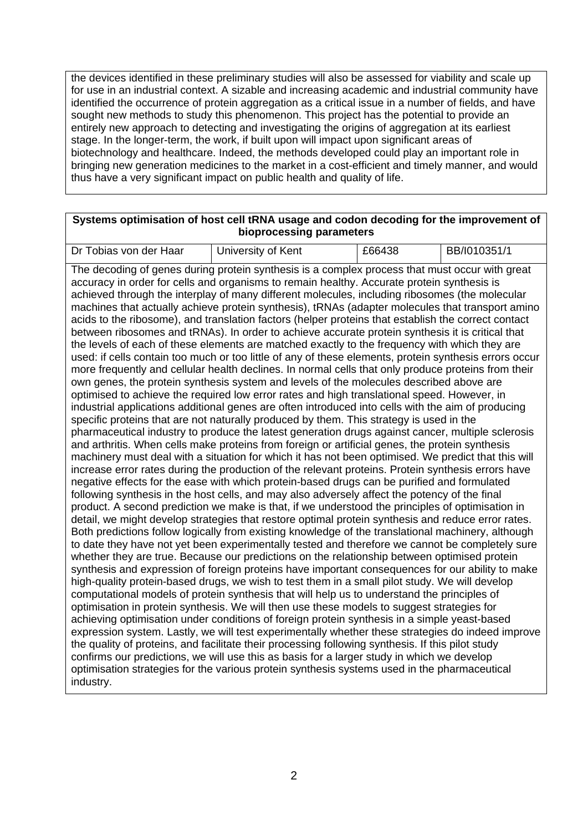the devices identified in these preliminary studies will also be assessed for viability and scale up for use in an industrial context. A sizable and increasing academic and industrial community have identified the occurrence of protein aggregation as a critical issue in a number of fields, and have sought new methods to study this phenomenon. This project has the potential to provide an entirely new approach to detecting and investigating the origins of aggregation at its earliest stage. In the longer-term, the work, if built upon will impact upon significant areas of biotechnology and healthcare. Indeed, the methods developed could play an important role in bringing new generation medicines to the market in a cost-efficient and timely manner, and would thus have a very significant impact on public health and quality of life.

#### **Systems optimisation of host cell tRNA usage and codon decoding for the improvement of bioprocessing parameters**

| Dr Tobias von der Haar                                                                         | University of Kent                                                                              | £66438 | BB/I010351/1 |  |
|------------------------------------------------------------------------------------------------|-------------------------------------------------------------------------------------------------|--------|--------------|--|
|                                                                                                |                                                                                                 |        |              |  |
| The decoding of genes during protein synthesis is a complex process that must occur with great |                                                                                                 |        |              |  |
| accuracy in order for cells and organisms to remain healthy. Accurate protein synthesis is     |                                                                                                 |        |              |  |
| achieved through the interplay of many different molecules, including ribosomes (the molecular |                                                                                                 |        |              |  |
|                                                                                                | machines that actually achieve protein synthesis) tRNAs (adapter molecules that transport amino |        |              |  |

achieve protein synthesis), tRNAs (adapter molecules that tr acids to the ribosome), and translation factors (helper proteins that establish the correct contact between ribosomes and tRNAs). In order to achieve accurate protein synthesis it is critical that the levels of each of these elements are matched exactly to the frequency with which they are used: if cells contain too much or too little of any of these elements, protein synthesis errors occur more frequently and cellular health declines. In normal cells that only produce proteins from their own genes, the protein synthesis system and levels of the molecules described above are optimised to achieve the required low error rates and high translational speed. However, in industrial applications additional genes are often introduced into cells with the aim of producing specific proteins that are not naturally produced by them. This strategy is used in the pharmaceutical industry to produce the latest generation drugs against cancer, multiple sclerosis and arthritis. When cells make proteins from foreign or artificial genes, the protein synthesis machinery must deal with a situation for which it has not been optimised. We predict that this will increase error rates during the production of the relevant proteins. Protein synthesis errors have negative effects for the ease with which protein-based drugs can be purified and formulated following synthesis in the host cells, and may also adversely affect the potency of the final product. A second prediction we make is that, if we understood the principles of optimisation in detail, we might develop strategies that restore optimal protein synthesis and reduce error rates. Both predictions follow logically from existing knowledge of the translational machinery, although to date they have not yet been experimentally tested and therefore we cannot be completely sure whether they are true. Because our predictions on the relationship between optimised protein synthesis and expression of foreign proteins have important consequences for our ability to make high-quality protein-based drugs, we wish to test them in a small pilot study. We will develop computational models of protein synthesis that will help us to understand the principles of optimisation in protein synthesis. We will then use these models to suggest strategies for achieving optimisation under conditions of foreign protein synthesis in a simple yeast-based expression system. Lastly, we will test experimentally whether these strategies do indeed improve the quality of proteins, and facilitate their processing following synthesis. If this pilot study confirms our predictions, we will use this as basis for a larger study in which we develop optimisation strategies for the various protein synthesis systems used in the pharmaceutical industry.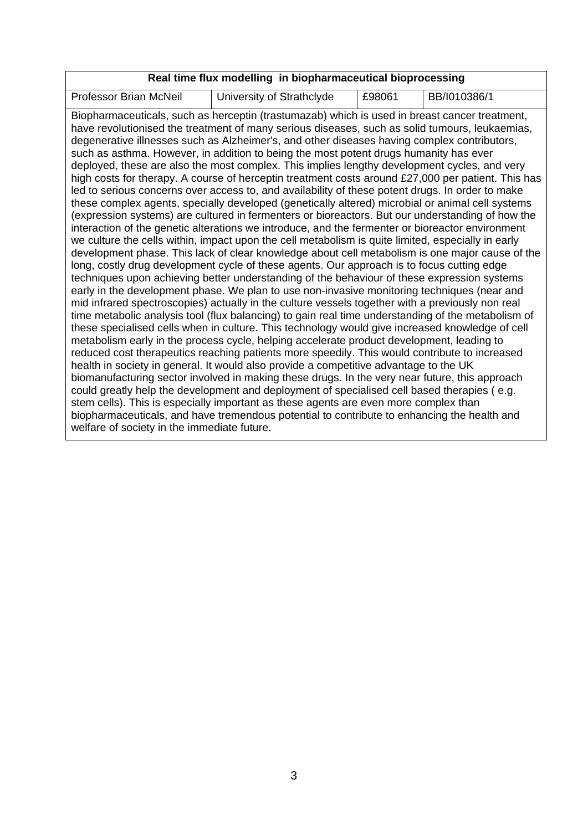# **Real time flux modelling in biopharmaceutical bioprocessing**

| <b>Professor Brian McNeil</b>                                                                                                                                                                 |                                                                                                                                                                                                                                                                                                                                                                                                                                                                                                                                                                                                                                                                                                                                                                                                                                                                                                                                                                                                                                                                                                                                                                                                                                                                                                                                                                                                                                                                                                                                                                                                                                                                                                                                                           | £98061 |              |  |
|-----------------------------------------------------------------------------------------------------------------------------------------------------------------------------------------------|-----------------------------------------------------------------------------------------------------------------------------------------------------------------------------------------------------------------------------------------------------------------------------------------------------------------------------------------------------------------------------------------------------------------------------------------------------------------------------------------------------------------------------------------------------------------------------------------------------------------------------------------------------------------------------------------------------------------------------------------------------------------------------------------------------------------------------------------------------------------------------------------------------------------------------------------------------------------------------------------------------------------------------------------------------------------------------------------------------------------------------------------------------------------------------------------------------------------------------------------------------------------------------------------------------------------------------------------------------------------------------------------------------------------------------------------------------------------------------------------------------------------------------------------------------------------------------------------------------------------------------------------------------------------------------------------------------------------------------------------------------------|--------|--------------|--|
|                                                                                                                                                                                               | University of Strathclyde<br>Biopharmaceuticals, such as herceptin (trastumazab) which is used in breast cancer treatment,<br>have revolutionised the treatment of many serious diseases, such as solid tumours, leukaemias,<br>degenerative illnesses such as Alzheimer's, and other diseases having complex contributors,<br>such as asthma. However, in addition to being the most potent drugs humanity has ever<br>deployed, these are also the most complex. This implies lengthy development cycles, and very<br>high costs for therapy. A course of herceptin treatment costs around £27,000 per patient. This has<br>led to serious concerns over access to, and availability of these potent drugs. In order to make<br>these complex agents, specially developed (genetically altered) microbial or animal cell systems<br>(expression systems) are cultured in fermenters or bioreactors. But our understanding of how the<br>interaction of the genetic alterations we introduce, and the fermenter or bioreactor environment<br>we culture the cells within, impact upon the cell metabolism is quite limited, especially in early<br>development phase. This lack of clear knowledge about cell metabolism is one major cause of the<br>long, costly drug development cycle of these agents. Our approach is to focus cutting edge<br>techniques upon achieving better understanding of the behaviour of these expression systems<br>early in the development phase. We plan to use non-invasive monitoring techniques (near and<br>mid infrared spectroscopies) actually in the culture vessels together with a previously non real<br>time metabolic analysis tool (flux balancing) to gain real time understanding of the metabolism of |        | BB/I010386/1 |  |
|                                                                                                                                                                                               | these specialised cells when in culture. This technology would give increased knowledge of cell                                                                                                                                                                                                                                                                                                                                                                                                                                                                                                                                                                                                                                                                                                                                                                                                                                                                                                                                                                                                                                                                                                                                                                                                                                                                                                                                                                                                                                                                                                                                                                                                                                                           |        |              |  |
|                                                                                                                                                                                               | metabolism early in the process cycle, helping accelerate product development, leading to<br>reduced cost therapeutics reaching patients more speedily. This would contribute to increased                                                                                                                                                                                                                                                                                                                                                                                                                                                                                                                                                                                                                                                                                                                                                                                                                                                                                                                                                                                                                                                                                                                                                                                                                                                                                                                                                                                                                                                                                                                                                                |        |              |  |
| health in society in general. It would also provide a competitive advantage to the UK                                                                                                         |                                                                                                                                                                                                                                                                                                                                                                                                                                                                                                                                                                                                                                                                                                                                                                                                                                                                                                                                                                                                                                                                                                                                                                                                                                                                                                                                                                                                                                                                                                                                                                                                                                                                                                                                                           |        |              |  |
| biomanufacturing sector involved in making these drugs. In the very near future, this approach<br>could greatly help the development and deployment of specialised cell based therapies (e.g. |                                                                                                                                                                                                                                                                                                                                                                                                                                                                                                                                                                                                                                                                                                                                                                                                                                                                                                                                                                                                                                                                                                                                                                                                                                                                                                                                                                                                                                                                                                                                                                                                                                                                                                                                                           |        |              |  |
| stem cells). This is especially important as these agents are even more complex than                                                                                                          |                                                                                                                                                                                                                                                                                                                                                                                                                                                                                                                                                                                                                                                                                                                                                                                                                                                                                                                                                                                                                                                                                                                                                                                                                                                                                                                                                                                                                                                                                                                                                                                                                                                                                                                                                           |        |              |  |
|                                                                                                                                                                                               | biopharmaceuticals, and have tremendous potential to contribute to enhancing the health and                                                                                                                                                                                                                                                                                                                                                                                                                                                                                                                                                                                                                                                                                                                                                                                                                                                                                                                                                                                                                                                                                                                                                                                                                                                                                                                                                                                                                                                                                                                                                                                                                                                               |        |              |  |
| welfare of society in the immediate future.                                                                                                                                                   |                                                                                                                                                                                                                                                                                                                                                                                                                                                                                                                                                                                                                                                                                                                                                                                                                                                                                                                                                                                                                                                                                                                                                                                                                                                                                                                                                                                                                                                                                                                                                                                                                                                                                                                                                           |        |              |  |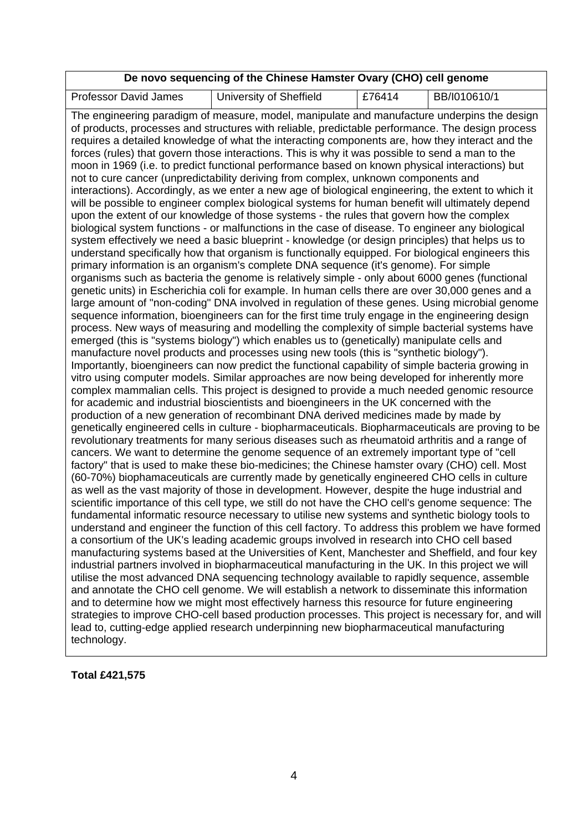#### **De novo sequencing of the Chinese Hamster Ovary (CHO) cell genome**

 $E76414$  BB/I010610/1

| <b>Professor David James</b> | University of Sheffield |
|------------------------------|-------------------------|

The engineering paradigm of measure, model, manipulate and manufacture underpins the design of products, processes and structures with reliable, predictable performance. The design process requires a detailed knowledge of what the interacting components are, how they interact and the forces (rules) that govern those interactions. This is why it was possible to send a man to the moon in 1969 (i.e. to predict functional performance based on known physical interactions) but not to cure cancer (unpredictability deriving from complex, unknown components and interactions). Accordingly, as we enter a new age of biological engineering, the extent to which it will be possible to engineer complex biological systems for human benefit will ultimately depend upon the extent of our knowledge of those systems - the rules that govern how the complex biological system functions - or malfunctions in the case of disease. To engineer any biological system effectively we need a basic blueprint - knowledge (or design principles) that helps us to understand specifically how that organism is functionally equipped. For biological engineers this primary information is an organism's complete DNA sequence (it's genome). For simple organisms such as bacteria the genome is relatively simple - only about 6000 genes (functional genetic units) in Escherichia coli for example. In human cells there are over 30,000 genes and a large amount of "non-coding" DNA involved in regulation of these genes. Using microbial genome sequence information, bioengineers can for the first time truly engage in the engineering design process. New ways of measuring and modelling the complexity of simple bacterial systems have emerged (this is "systems biology") which enables us to (genetically) manipulate cells and manufacture novel products and processes using new tools (this is "synthetic biology"). Importantly, bioengineers can now predict the functional capability of simple bacteria growing in vitro using computer models. Similar approaches are now being developed for inherently more complex mammalian cells. This project is designed to provide a much needed genomic resource for academic and industrial bioscientists and bioengineers in the UK concerned with the production of a new generation of recombinant DNA derived medicines made by made by genetically engineered cells in culture - biopharmaceuticals. Biopharmaceuticals are proving to be revolutionary treatments for many serious diseases such as rheumatoid arthritis and a range of cancers. We want to determine the genome sequence of an extremely important type of "cell factory" that is used to make these bio-medicines; the Chinese hamster ovary (CHO) cell. Most (60-70%) biophamaceuticals are currently made by genetically engineered CHO cells in culture as well as the vast majority of those in development. However, despite the huge industrial and scientific importance of this cell type, we still do not have the CHO cell's genome sequence: The fundamental informatic resource necessary to utilise new systems and synthetic biology tools to understand and engineer the function of this cell factory. To address this problem we have formed a consortium of the UK's leading academic groups involved in research into CHO cell based manufacturing systems based at the Universities of Kent, Manchester and Sheffield, and four key industrial partners involved in biopharmaceutical manufacturing in the UK. In this project we will utilise the most advanced DNA sequencing technology available to rapidly sequence, assemble and annotate the CHO cell genome. We will establish a network to disseminate this information and to determine how we might most effectively harness this resource for future engineering strategies to improve CHO-cell based production processes. This project is necessary for, and will lead to, cutting-edge applied research underpinning new biopharmaceutical manufacturing technology.

#### **Total £421,575**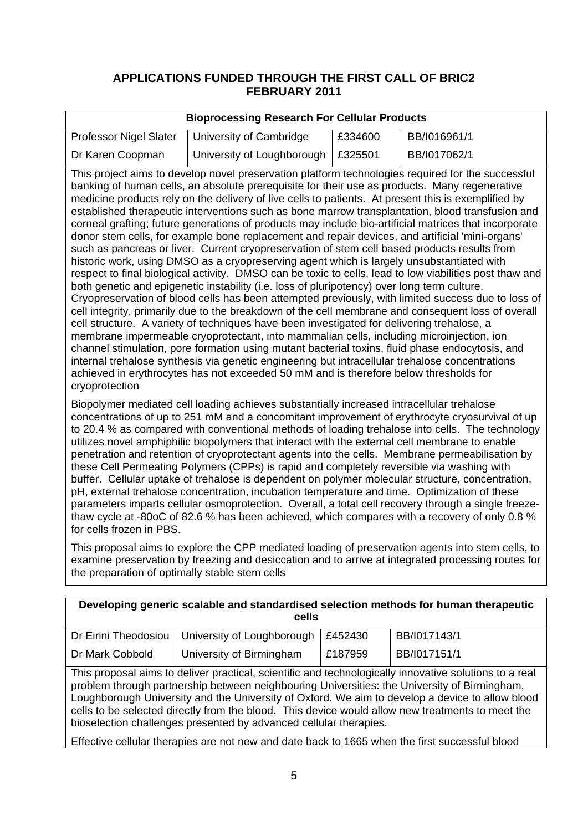## **APPLICATIONS FUNDED THROUGH THE FIRST CALL OF BRIC2 FEBRUARY 2011**

|                                                                                                                                                                                                                                                                                                                                                                                                                                                                                                                                                                                                                                                                                                                                                                                                                                                                                                                                                                                                                                                                                                                                                                                                                                                                                                                                                                                                                                                                                                                                                                                                                                                                                                                                       | <b>Bioprocessing Research For Cellular Products</b> |         |              |  |
|---------------------------------------------------------------------------------------------------------------------------------------------------------------------------------------------------------------------------------------------------------------------------------------------------------------------------------------------------------------------------------------------------------------------------------------------------------------------------------------------------------------------------------------------------------------------------------------------------------------------------------------------------------------------------------------------------------------------------------------------------------------------------------------------------------------------------------------------------------------------------------------------------------------------------------------------------------------------------------------------------------------------------------------------------------------------------------------------------------------------------------------------------------------------------------------------------------------------------------------------------------------------------------------------------------------------------------------------------------------------------------------------------------------------------------------------------------------------------------------------------------------------------------------------------------------------------------------------------------------------------------------------------------------------------------------------------------------------------------------|-----------------------------------------------------|---------|--------------|--|
| <b>Professor Nigel Slater</b>                                                                                                                                                                                                                                                                                                                                                                                                                                                                                                                                                                                                                                                                                                                                                                                                                                                                                                                                                                                                                                                                                                                                                                                                                                                                                                                                                                                                                                                                                                                                                                                                                                                                                                         | University of Cambridge                             | £334600 | BB/I016961/1 |  |
| Dr Karen Coopman                                                                                                                                                                                                                                                                                                                                                                                                                                                                                                                                                                                                                                                                                                                                                                                                                                                                                                                                                                                                                                                                                                                                                                                                                                                                                                                                                                                                                                                                                                                                                                                                                                                                                                                      | University of Loughborough                          | £325501 | BB/I017062/1 |  |
| This project aims to develop novel preservation platform technologies required for the successful<br>banking of human cells, an absolute prerequisite for their use as products. Many regenerative<br>medicine products rely on the delivery of live cells to patients. At present this is exemplified by<br>established therapeutic interventions such as bone marrow transplantation, blood transfusion and<br>corneal grafting; future generations of products may include bio-artificial matrices that incorporate<br>donor stem cells, for example bone replacement and repair devices, and artificial 'mini-organs'<br>such as pancreas or liver. Current cryopreservation of stem cell based products results from<br>historic work, using DMSO as a cryopreserving agent which is largely unsubstantiated with<br>respect to final biological activity. DMSO can be toxic to cells, lead to low viabilities post thaw and<br>both genetic and epigenetic instability (i.e. loss of pluripotency) over long term culture.<br>Cryopreservation of blood cells has been attempted previously, with limited success due to loss of<br>cell integrity, primarily due to the breakdown of the cell membrane and consequent loss of overall<br>cell structure. A variety of techniques have been investigated for delivering trehalose, a<br>membrane impermeable cryoprotectant, into mammalian cells, including microinjection, ion<br>channel stimulation, pore formation using mutant bacterial toxins, fluid phase endocytosis, and<br>internal trehalose synthesis via genetic engineering but intracellular trehalose concentrations<br>achieved in erythrocytes has not exceeded 50 mM and is therefore below thresholds for |                                                     |         |              |  |
| cryoprotection<br>Biopolymer mediated cell loading achieves substantially increased intracellular trehalose<br>concentrations of up to 251 mM and a concomitant improvement of erythrocyte cryosurvival of up<br>to 20.4 % as compared with conventional methods of loading trehalose into cells. The technology<br>utilizes novel amphiphilic biopolymers that interact with the external cell membrane to enable<br>penetration and retention of cryoprotectant agents into the cells. Membrane permeabilisation by<br>these Cell Permeating Polymers (CPPs) is rapid and completely reversible via washing with<br>buffer. Cellular uptake of trehalose is dependent on polymer molecular structure, concentration,<br>pH, external trehalose concentration, incubation temperature and time. Optimization of these<br>parameters imparts cellular osmoprotection. Overall, a total cell recovery through a single freeze-<br>thaw cycle at -80oC of 82.6 % has been achieved, which compares with a recovery of only 0.8 %<br>for cells frozen in PBS.                                                                                                                                                                                                                                                                                                                                                                                                                                                                                                                                                                                                                                                                            |                                                     |         |              |  |

This proposal aims to explore the CPP mediated loading of preservation agents into stem cells, to examine preservation by freezing and desiccation and to arrive at integrated processing routes for the preparation of optimally stable stem cells

| Developing generic scalable and standardised selection methods for human therapeutic                                                                                                                                                                                                                                                                                                                                                                                               |                                                                                                |         |              |
|------------------------------------------------------------------------------------------------------------------------------------------------------------------------------------------------------------------------------------------------------------------------------------------------------------------------------------------------------------------------------------------------------------------------------------------------------------------------------------|------------------------------------------------------------------------------------------------|---------|--------------|
|                                                                                                                                                                                                                                                                                                                                                                                                                                                                                    | cells                                                                                          |         |              |
| Dr Eirini Theodosiou                                                                                                                                                                                                                                                                                                                                                                                                                                                               | University of Loughborough                                                                     | £452430 | BB/I017143/1 |
| Dr Mark Cobbold                                                                                                                                                                                                                                                                                                                                                                                                                                                                    | University of Birmingham                                                                       | £187959 | BB/I017151/1 |
| This proposal aims to deliver practical, scientific and technologically innovative solutions to a real<br>problem through partnership between neighbouring Universities: the University of Birmingham,<br>Loughborough University and the University of Oxford. We aim to develop a device to allow blood<br>cells to be selected directly from the blood. This device would allow new treatments to meet the<br>bioselection challenges presented by advanced cellular therapies. |                                                                                                |         |              |
|                                                                                                                                                                                                                                                                                                                                                                                                                                                                                    | Effective cellular therapies are not new and date back to 1665 when the first successful blood |         |              |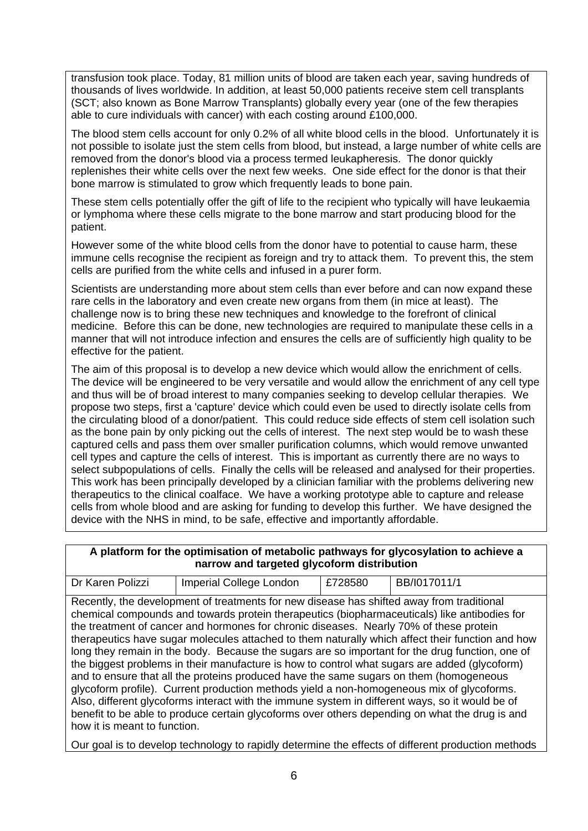transfusion took place. Today, 81 million units of blood are taken each year, saving hundreds of thousands of lives worldwide. In addition, at least 50,000 patients receive stem cell transplants (SCT; also known as Bone Marrow Transplants) globally every year (one of the few therapies able to cure individuals with cancer) with each costing around £100,000.

The blood stem cells account for only 0.2% of all white blood cells in the blood. Unfortunately it is not possible to isolate just the stem cells from blood, but instead, a large number of white cells are removed from the donor's blood via a process termed leukapheresis. The donor quickly replenishes their white cells over the next few weeks. One side effect for the donor is that their bone marrow is stimulated to grow which frequently leads to bone pain.

These stem cells potentially offer the gift of life to the recipient who typically will have leukaemia or lymphoma where these cells migrate to the bone marrow and start producing blood for the patient.

However some of the white blood cells from the donor have to potential to cause harm, these immune cells recognise the recipient as foreign and try to attack them. To prevent this, the stem cells are purified from the white cells and infused in a purer form.

Scientists are understanding more about stem cells than ever before and can now expand these rare cells in the laboratory and even create new organs from them (in mice at least). The challenge now is to bring these new techniques and knowledge to the forefront of clinical medicine. Before this can be done, new technologies are required to manipulate these cells in a manner that will not introduce infection and ensures the cells are of sufficiently high quality to be effective for the patient.

select subpopulations of cells. Finally the cells will be released and analysed for their properties. The aim of this proposal is to develop a new device which would allow the enrichment of cells. The device will be engineered to be very versatile and would allow the enrichment of any cell type and thus will be of broad interest to many companies seeking to develop cellular therapies. We propose two steps, first a 'capture' device which could even be used to directly isolate cells from the circulating blood of a donor/patient. This could reduce side effects of stem cell isolation such as the bone pain by only picking out the cells of interest. The next step would be to wash these captured cells and pass them over smaller purification columns, which would remove unwanted cell types and capture the cells of interest. This is important as currently there are no ways to This work has been principally developed by a clinician familiar with the problems delivering new therapeutics to the clinical coalface. We have a working prototype able to capture and release cells from whole blood and are asking for funding to develop this further. We have designed the device with the NHS in mind, to be safe, effective and importantly affordable.

#### **A platform for the optimisation of metabolic pathways for glycosylation to achieve a narrow and targeted glycoform distribution**

| Dr Karen Polizzi                                                                                | <b>Imperial College London</b>                                                                  | £728580 | BB/I017011/1                                                                                     |  |  |  |
|-------------------------------------------------------------------------------------------------|-------------------------------------------------------------------------------------------------|---------|--------------------------------------------------------------------------------------------------|--|--|--|
| Recently, the development of treatments for new disease has shifted away from traditional       |                                                                                                 |         |                                                                                                  |  |  |  |
|                                                                                                 | chemical compounds and towards protein therapeutics (biopharmaceuticals) like antibodies for    |         |                                                                                                  |  |  |  |
|                                                                                                 | the treatment of cancer and hormones for chronic diseases. Nearly 70% of these protein          |         |                                                                                                  |  |  |  |
|                                                                                                 |                                                                                                 |         | therapeutics have sugar molecules attached to them naturally which affect their function and how |  |  |  |
|                                                                                                 | long they remain in the body. Because the sugars are so important for the drug function, one of |         |                                                                                                  |  |  |  |
|                                                                                                 | the biggest problems in their manufacture is how to control what sugars are added (glycoform)   |         |                                                                                                  |  |  |  |
| and to ensure that all the proteins produced have the same sugars on them (homogeneous          |                                                                                                 |         |                                                                                                  |  |  |  |
|                                                                                                 | glycoform profile). Current production methods yield a non-homogeneous mix of glycoforms.       |         |                                                                                                  |  |  |  |
| Also, different glycoforms interact with the immune system in different ways, so it would be of |                                                                                                 |         |                                                                                                  |  |  |  |
|                                                                                                 | benefit to be able to produce certain glycoforms over others depending on what the drug is and  |         |                                                                                                  |  |  |  |
| how it is meant to function.                                                                    |                                                                                                 |         |                                                                                                  |  |  |  |

Our goal is to develop technology to rapidly determine the effects of different production methods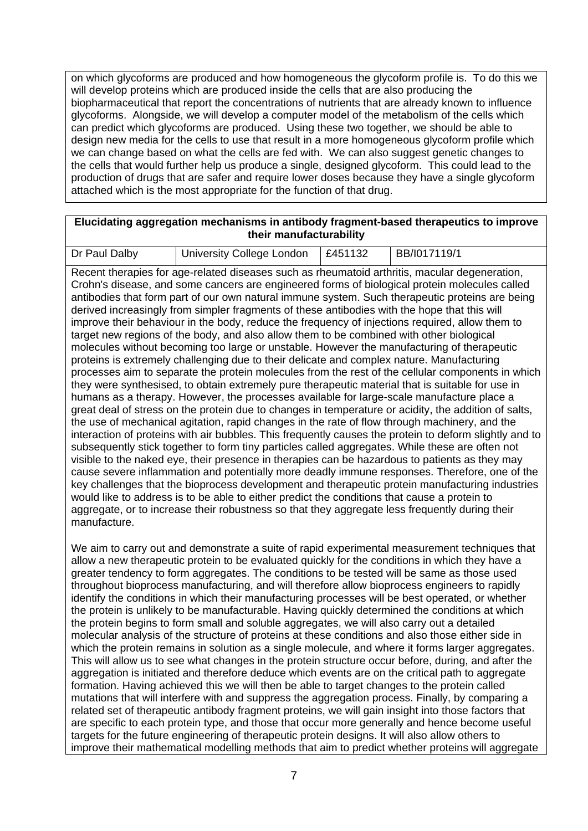on which glycoforms are produced and how homogeneous the glycoform profile is. To do this we will develop proteins which are produced inside the cells that are also producing the biopharmaceutical that report the concentrations of nutrients that are already known to influence glycoforms. Alongside, we will develop a computer model of the metabolism of the cells which can predict which glycoforms are produced. Using these two together, we should be able to design new media for the cells to use that result in a more homogeneous glycoform profile which we can change based on what the cells are fed with. We can also suggest genetic changes to the cells that would further help us produce a single, designed glycoform. This could lead to the production of drugs that are safer and require lower doses because they have a single glycoform attached which is the most appropriate for the function of that drug.

#### **Elucidating aggregation mechanisms in antibody fragment-based therapeutics to improve their manufacturability**

| Dr Paul Dalby | University College London   £451132 | BB/I017119/1 |
|---------------|-------------------------------------|--------------|
|               |                                     |              |

Recent therapies for age-related diseases such as rheumatoid arthritis, macular degeneration, Crohn's disease, and some cancers are engineered forms of biological protein molecules called antibodies that form part of our own natural immune system. Such therapeutic proteins are being derived increasingly from simpler fragments of these antibodies with the hope that this will improve their behaviour in the body, reduce the frequency of injections required, allow them to target new regions of the body, and also allow them to be combined with other biological molecules without becoming too large or unstable. However the manufacturing of therapeutic proteins is extremely challenging due to their delicate and complex nature. Manufacturing processes aim to separate the protein molecules from the rest of the cellular components in which they were synthesised, to obtain extremely pure therapeutic material that is suitable for use in humans as a therapy. However, the processes available for large-scale manufacture place a great deal of stress on the protein due to changes in temperature or acidity, the addition of salts, the use of mechanical agitation, rapid changes in the rate of flow through machinery, and the interaction of proteins with air bubbles. This frequently causes the protein to deform slightly and to subsequently stick together to form tiny particles called aggregates. While these are often not visible to the naked eye, their presence in therapies can be hazardous to patients as they may cause severe inflammation and potentially more deadly immune responses. Therefore, one of the key challenges that the bioprocess development and therapeutic protein manufacturing industries would like to address is to be able to either predict the conditions that cause a protein to aggregate, or to increase their robustness so that they aggregate less frequently during their manufacture.

We aim to carry out and demonstrate a suite of rapid experimental measurement techniques that allow a new therapeutic protein to be evaluated quickly for the conditions in which they have a greater tendency to form aggregates. The conditions to be tested will be same as those used throughout bioprocess manufacturing, and will therefore allow bioprocess engineers to rapidly identify the conditions in which their manufacturing processes will be best operated, or whether the protein is unlikely to be manufacturable. Having quickly determined the conditions at which the protein begins to form small and soluble aggregates, we will also carry out a detailed molecular analysis of the structure of proteins at these conditions and also those either side in which the protein remains in solution as a single molecule, and where it forms larger aggregates. This will allow us to see what changes in the protein structure occur before, during, and after the aggregation is initiated and therefore deduce which events are on the critical path to aggregate formation. Having achieved this we will then be able to target changes to the protein called mutations that will interfere with and suppress the aggregation process. Finally, by comparing a related set of therapeutic antibody fragment proteins, we will gain insight into those factors that are specific to each protein type, and those that occur more generally and hence become useful targets for the future engineering of therapeutic protein designs. It will also allow others to improve their mathematical modelling methods that aim to predict whether proteins will aggregate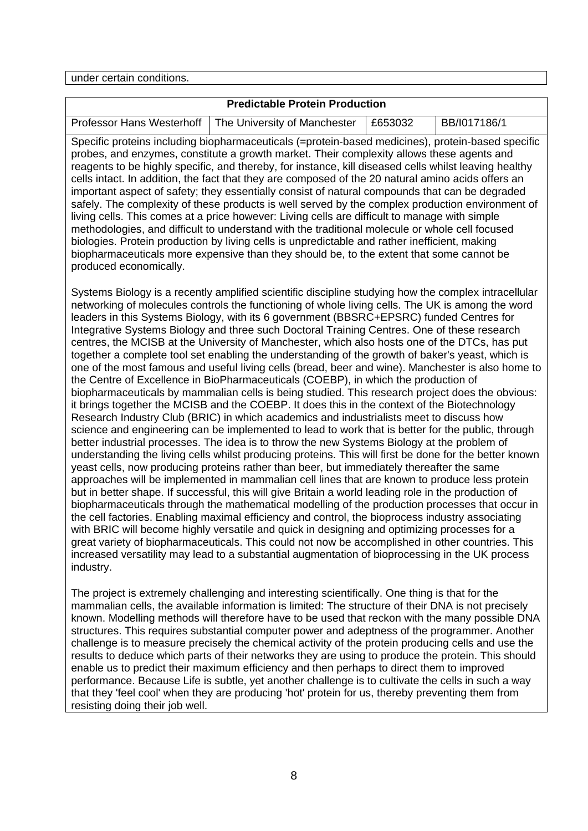under certain conditions.

## **Predictable Protein Production**

| Professor Hans Westerhoff   The University of Manchester   £653032 | BB/I017186/1 |
|--------------------------------------------------------------------|--------------|

Specific proteins including biopharmaceuticals (=protein-based medicines), protein-based specific probes, and enzymes, constitute a growth market. Their complexity allows these agents and reagents to be highly specific, and thereby, for instance, kill diseased cells whilst leaving healthy cells intact. In addition, the fact that they are composed of the 20 natural amino acids offers an important aspect of safety; they essentially consist of natural compounds that can be degraded safely. The complexity of these products is well served by the complex production environment of living cells. This comes at a price however: Living cells are difficult to manage with simple methodologies, and difficult to understand with the traditional molecule or whole cell focused biologies. Protein production by living cells is unpredictable and rather inefficient, making biopharmaceuticals more expensive than they should be, to the extent that some cannot be produced economically.

Systems Biology is a recently amplified scientific discipline studying how the complex intracellular networking of molecules controls the functioning of whole living cells. The UK is among the word leaders in this Systems Biology, with its 6 government (BBSRC+EPSRC) funded Centres for Integrative Systems Biology and three such Doctoral Training Centres. One of these research centres, the MCISB at the University of Manchester, which also hosts one of the DTCs, has put together a complete tool set enabling the understanding of the growth of baker's yeast, which is one of the most famous and useful living cells (bread, beer and wine). Manchester is also home to the Centre of Excellence in BioPharmaceuticals (COEBP), in which the production of biopharmaceuticals by mammalian cells is being studied. This research project does the obvious: it brings together the MCISB and the COEBP. It does this in the context of the Biotechnology Research Industry Club (BRIC) in which academics and industrialists meet to discuss how science and engineering can be implemented to lead to work that is better for the public, through better industrial processes. The idea is to throw the new Systems Biology at the problem of understanding the living cells whilst producing proteins. This will first be done for the better known yeast cells, now producing proteins rather than beer, but immediately thereafter the same approaches will be implemented in mammalian cell lines that are known to produce less protein but in better shape. If successful, this will give Britain a world leading role in the production of biopharmaceuticals through the mathematical modelling of the production processes that occur in the cell factories. Enabling maximal efficiency and control, the bioprocess industry associating with BRIC will become highly versatile and quick in designing and optimizing processes for a great variety of biopharmaceuticals. This could not now be accomplished in other countries. This increased versatility may lead to a substantial augmentation of bioprocessing in the UK process industry.

The project is extremely challenging and interesting scientifically. One thing is that for the mammalian cells, the available information is limited: The structure of their DNA is not precisely known. Modelling methods will therefore have to be used that reckon with the many possible DNA structures. This requires substantial computer power and adeptness of the programmer. Another challenge is to measure precisely the chemical activity of the protein producing cells and use the results to deduce which parts of their networks they are using to produce the protein. This should enable us to predict their maximum efficiency and then perhaps to direct them to improved performance. Because Life is subtle, yet another challenge is to cultivate the cells in such a way that they 'feel cool' when they are producing 'hot' protein for us, thereby preventing them from resisting doing their job well.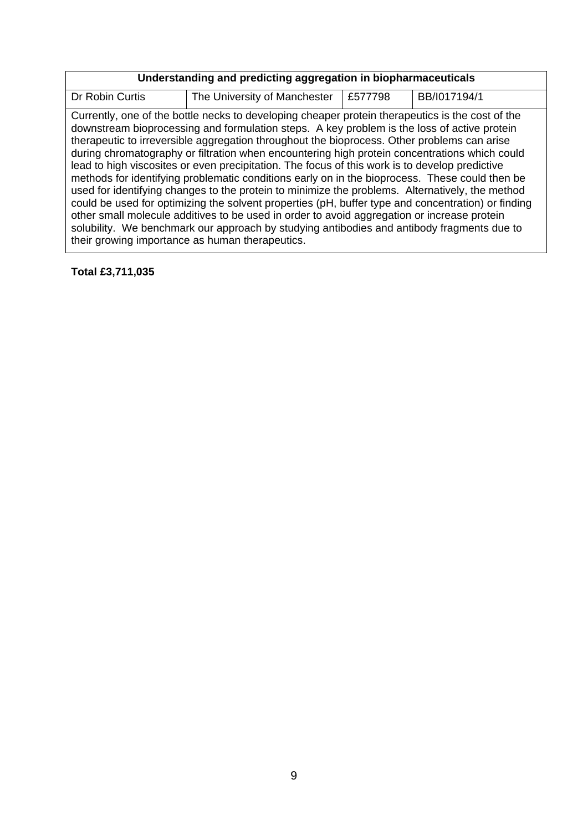| Understanding and predicting aggregation in biopharmaceuticals |                                                                                                                                                                                                                                                                                                                                                                                                                                                                                                                                                                                                                                                                                                                                                                                                                                                                                                                                                                                                                                                              |         |              |
|----------------------------------------------------------------|--------------------------------------------------------------------------------------------------------------------------------------------------------------------------------------------------------------------------------------------------------------------------------------------------------------------------------------------------------------------------------------------------------------------------------------------------------------------------------------------------------------------------------------------------------------------------------------------------------------------------------------------------------------------------------------------------------------------------------------------------------------------------------------------------------------------------------------------------------------------------------------------------------------------------------------------------------------------------------------------------------------------------------------------------------------|---------|--------------|
| Dr Robin Curtis                                                | The University of Manchester                                                                                                                                                                                                                                                                                                                                                                                                                                                                                                                                                                                                                                                                                                                                                                                                                                                                                                                                                                                                                                 | £577798 | BB/I017194/1 |
|                                                                | Currently, one of the bottle necks to developing cheaper protein therapeutics is the cost of the<br>downstream bioprocessing and formulation steps. A key problem is the loss of active protein<br>therapeutic to irreversible aggregation throughout the bioprocess. Other problems can arise<br>during chromatography or filtration when encountering high protein concentrations which could<br>lead to high viscosites or even precipitation. The focus of this work is to develop predictive<br>methods for identifying problematic conditions early on in the bioprocess. These could then be<br>used for identifying changes to the protein to minimize the problems. Alternatively, the method<br>could be used for optimizing the solvent properties (pH, buffer type and concentration) or finding<br>other small molecule additives to be used in order to avoid aggregation or increase protein<br>solubility. We benchmark our approach by studying antibodies and antibody fragments due to<br>their growing importance as human therapeutics. |         |              |

## **Total £3,711,035**